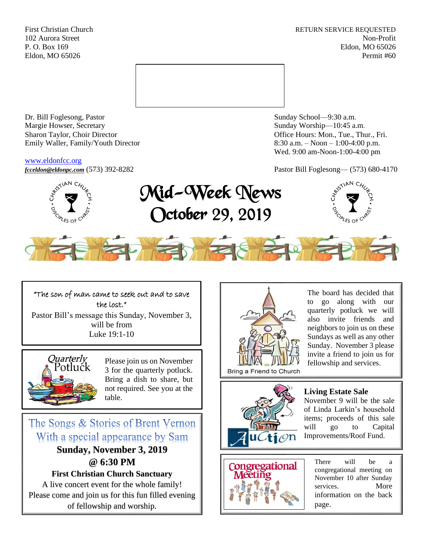First Christian Church **RETURN SERVICE REQUESTED** 102 Aurora Street Non-Profit P. O. Box 169 Eldon, MO 65026 Eldon, MO 65026 Permit #60



Dr. Bill Foglesong, Pastor Sunday School—9:30 a.m. Margie Howser, Secretary Sunday Worship—10:45 a.m. Sharon Taylor, Choir Director **Channel Controllering Controllering Controllering Controllering Controllering Controllering Controllering Controllering Controllering Controllering Controllering Controllering Controllering C** Emily Waller, Family/Youth Director 8:30 a.m. – Noon – 1:00-4:00 p.m.

#### [www.eldonfcc.org](http://www.eldonfcc.org/)

Wed. 9:00 am-Noon-1:00-4:00 pm

*[fcceldon@eldonpc.com](mailto:fcceldon@eldonpc.com)* (573) 392-8282 Pastor Bill Foglesong— (573) 680-4170



# Mid-Week News October 29, 2019





# "The son of man came to seek out and to save the lost."

Pastor Bill's message this Sunday, November 3, will be from Luke 19:1-10



Please join us on November 3 for the quarterly potluck. Bring a dish to share, but not required. See you at the table.

# The Songs & Stories of Brent Vernon With a special appearance by Sam

**Sunday, November 3, 2019 @ 6:30 PM**

**First Christian Church Sanctuary**

A live concert event for the whole family! Please come and join us for this fun filled evening of fellowship and worship.



The board has decided that to go along with our quarterly potluck we will also invite friends and neighbors to join us on these Sundays as well as any other Sunday. November 3 please invite a friend to join us for fellowship and services.



# **Living Estate Sale**

November 9 will be the sale of Linda Larkin's household items; proceeds of this sale will go to Capital Improvements/Roof Fund.



There will be a congregational meeting on November 10 after Sunday services. More information on the back page.